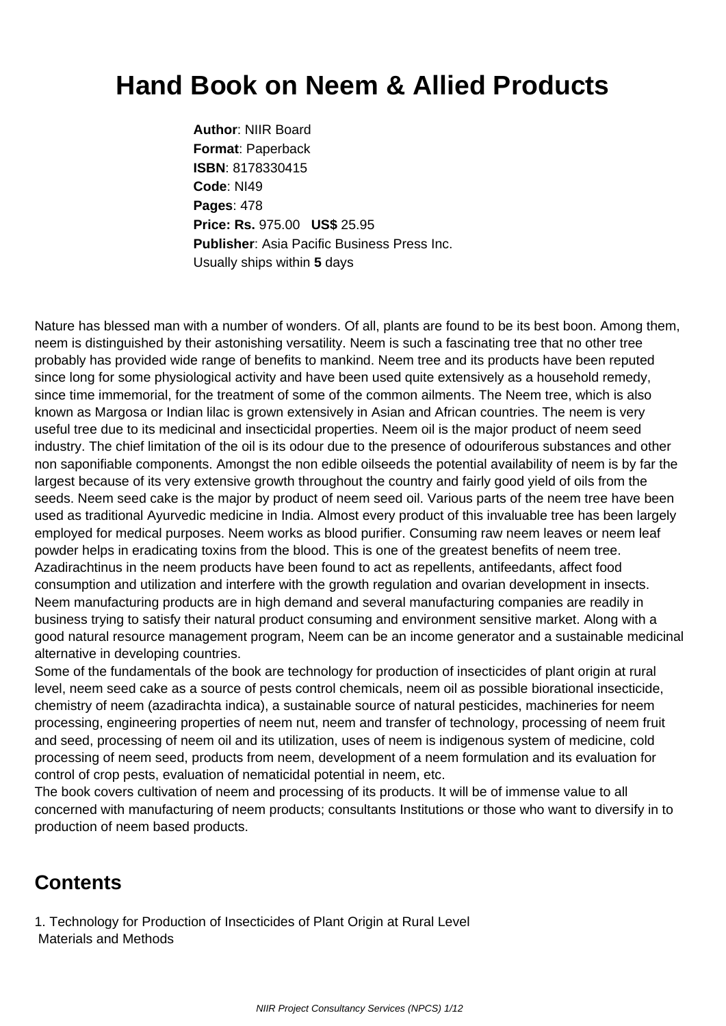## **Hand Book on Neem & Allied Products**

**Author**: NIIR Board **Format**: Paperback **ISBN**: 8178330415 **Code**: NI49 **Pages**: 478 **Price: Rs.** 975.00 **US\$** 25.95 **Publisher**: Asia Pacific Business Press Inc. Usually ships within **5** days

Nature has blessed man with a number of wonders. Of all, plants are found to be its best boon. Among them, neem is distinguished by their astonishing versatility. Neem is such a fascinating tree that no other tree probably has provided wide range of benefits to mankind. Neem tree and its products have been reputed since long for some physiological activity and have been used quite extensively as a household remedy, since time immemorial, for the treatment of some of the common ailments. The Neem tree, which is also known as Margosa or Indian lilac is grown extensively in Asian and African countries. The neem is very useful tree due to its medicinal and insecticidal properties. Neem oil is the major product of neem seed industry. The chief limitation of the oil is its odour due to the presence of odouriferous substances and other non saponifiable components. Amongst the non edible oilseeds the potential availability of neem is by far the largest because of its very extensive growth throughout the country and fairly good yield of oils from the seeds. Neem seed cake is the major by product of neem seed oil. Various parts of the neem tree have been used as traditional Ayurvedic medicine in India. Almost every product of this invaluable tree has been largely employed for medical purposes. Neem works as blood purifier. Consuming raw neem leaves or neem leaf powder helps in eradicating toxins from the blood. This is one of the greatest benefits of neem tree. Azadirachtinus in the neem products have been found to act as repellents, antifeedants, affect food consumption and utilization and interfere with the growth regulation and ovarian development in insects. Neem manufacturing products are in high demand and several manufacturing companies are readily in business trying to satisfy their natural product consuming and environment sensitive market. Along with a good natural resource management program, Neem can be an income generator and a sustainable medicinal alternative in developing countries.

Some of the fundamentals of the book are technology for production of insecticides of plant origin at rural level, neem seed cake as a source of pests control chemicals, neem oil as possible biorational insecticide, chemistry of neem (azadirachta indica), a sustainable source of natural pesticides, machineries for neem processing, engineering properties of neem nut, neem and transfer of technology, processing of neem fruit and seed, processing of neem oil and its utilization, uses of neem is indigenous system of medicine, cold processing of neem seed, products from neem, development of a neem formulation and its evaluation for control of crop pests, evaluation of nematicidal potential in neem, etc.

The book covers cultivation of neem and processing of its products. It will be of immense value to all concerned with manufacturing of neem products; consultants Institutions or those who want to diversify in to production of neem based products.

## **Contents**

1. Technology for Production of Insecticides of Plant Origin at Rural Level Materials and Methods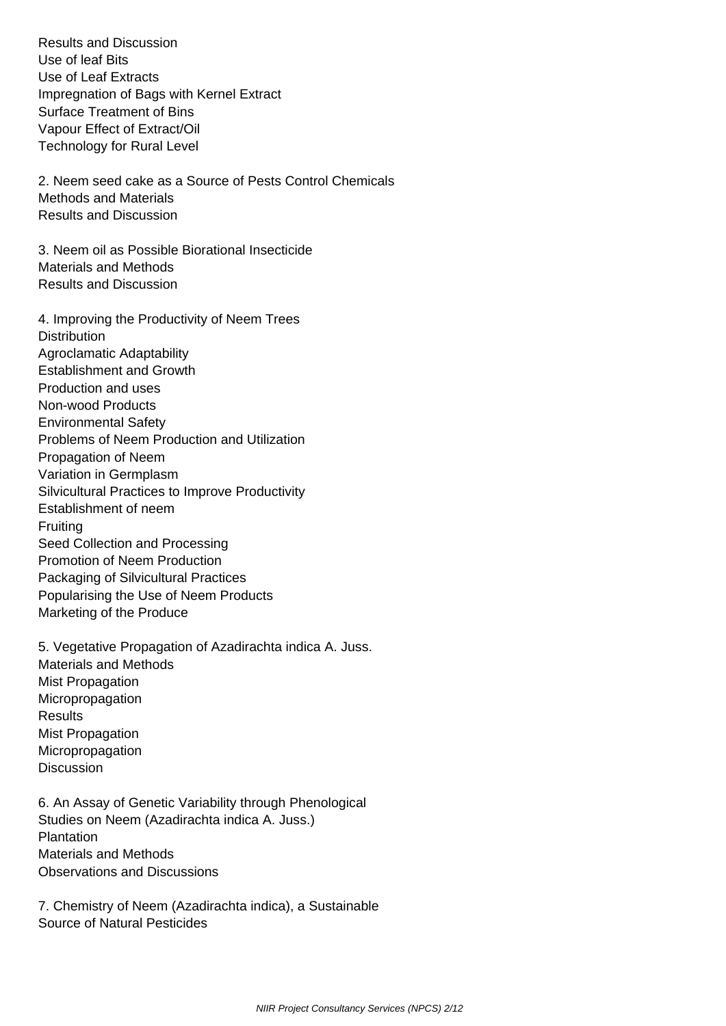Results and Discussion Use of leaf Bits Use of Leaf Extracts Impregnation of Bags with Kernel Extract Surface Treatment of Bins Vapour Effect of Extract/Oil Technology for Rural Level

 2. Neem seed cake as a Source of Pests Control Chemicals Methods and Materials Results and Discussion

 3. Neem oil as Possible Biorational Insecticide Materials and Methods Results and Discussion

 4. Improving the Productivity of Neem Trees **Distribution**  Agroclamatic Adaptability Establishment and Growth Production and uses Non-wood Products Environmental Safety Problems of Neem Production and Utilization Propagation of Neem Variation in Germplasm Silvicultural Practices to Improve Productivity Establishment of neem **Fruiting**  Seed Collection and Processing Promotion of Neem Production Packaging of Silvicultural Practices Popularising the Use of Neem Products Marketing of the Produce

 5. Vegetative Propagation of Azadirachta indica A. Juss. Materials and Methods Mist Propagation Micropropagation **Results**  Mist Propagation Micropropagation **Discussion** 

 6. An Assay of Genetic Variability through Phenological Studies on Neem (Azadirachta indica A. Juss.) Plantation Materials and Methods Observations and Discussions

 7. Chemistry of Neem (Azadirachta indica), a Sustainable Source of Natural Pesticides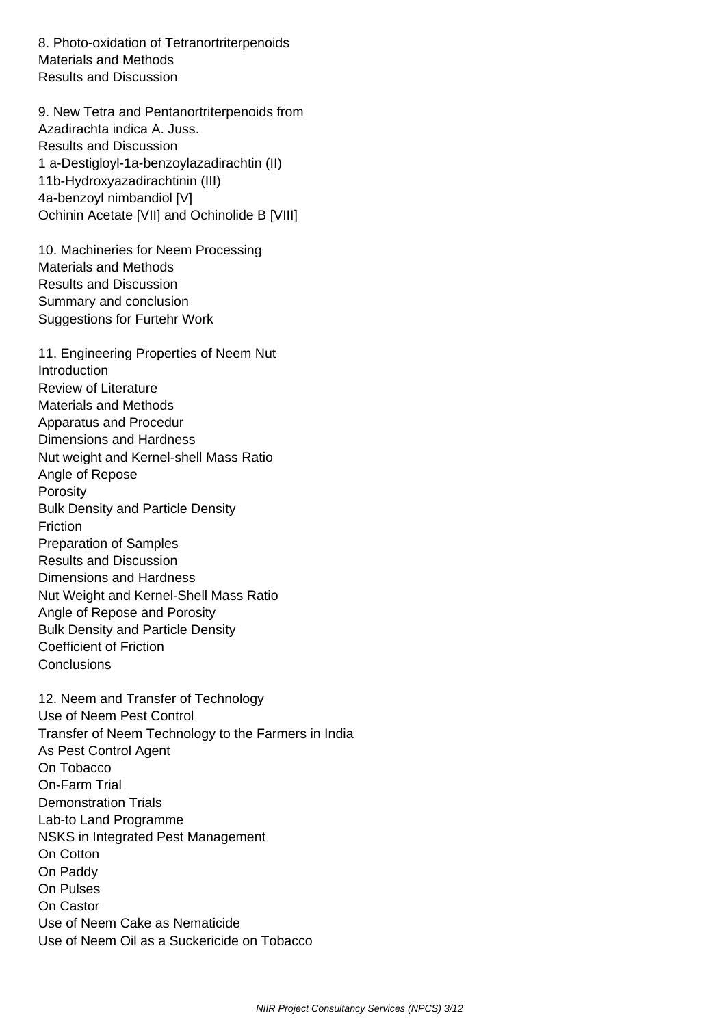8. Photo-oxidation of Tetranortriterpenoids Materials and Methods Results and Discussion

 9. New Tetra and Pentanortriterpenoids from Azadirachta indica A. Juss. Results and Discussion 1 a-Destigloyl-1a-benzoylazadirachtin (II) 11b-Hydroxyazadirachtinin (III) 4a-benzoyl nimbandiol [V] Ochinin Acetate [VII] and Ochinolide B [VIII]

 10. Machineries for Neem Processing Materials and Methods Results and Discussion Summary and conclusion Suggestions for Furtehr Work

 11. Engineering Properties of Neem Nut Introduction Review of Literature Materials and Methods Apparatus and Procedur Dimensions and Hardness Nut weight and Kernel-shell Mass Ratio Angle of Repose Porosity Bulk Density and Particle Density Friction Preparation of Samples Results and Discussion Dimensions and Hardness Nut Weight and Kernel-Shell Mass Ratio Angle of Repose and Porosity Bulk Density and Particle Density Coefficient of Friction **Conclusions** 

 12. Neem and Transfer of Technology Use of Neem Pest Control Transfer of Neem Technology to the Farmers in India As Pest Control Agent On Tobacco On-Farm Trial Demonstration Trials Lab-to Land Programme NSKS in Integrated Pest Management On Cotton On Paddy On Pulses On Castor Use of Neem Cake as Nematicide Use of Neem Oil as a Suckericide on Tobacco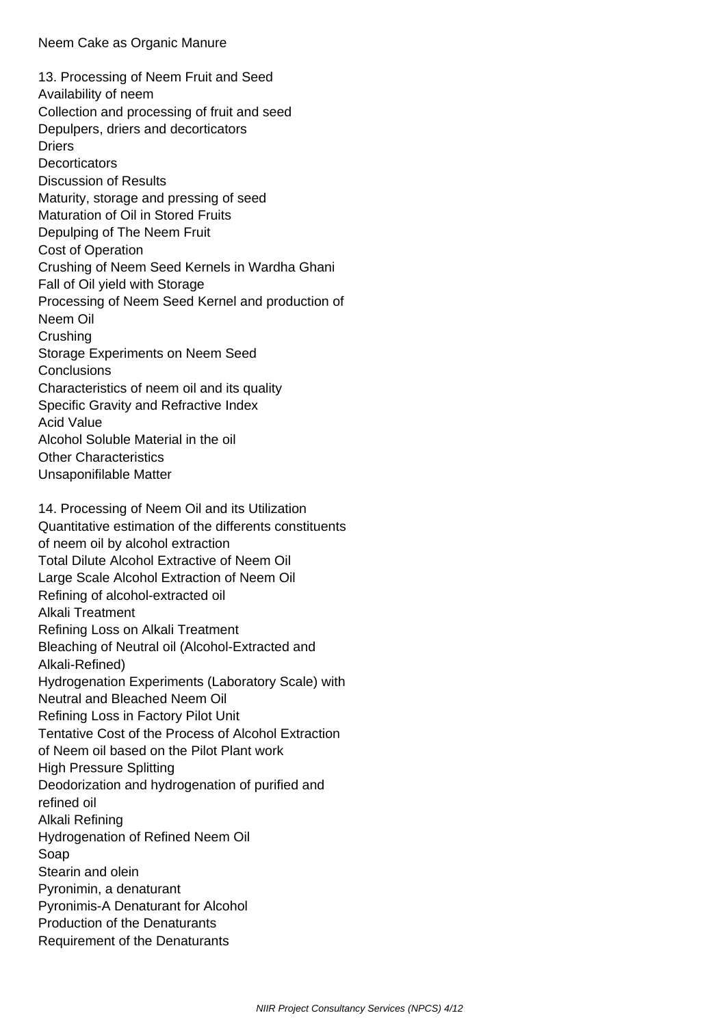13. Processing of Neem Fruit and Seed Availability of neem Collection and processing of fruit and seed Depulpers, driers and decorticators **Driers Decorticators**  Discussion of Results Maturity, storage and pressing of seed Maturation of Oil in Stored Fruits Depulping of The Neem Fruit Cost of Operation Crushing of Neem Seed Kernels in Wardha Ghani Fall of Oil yield with Storage Processing of Neem Seed Kernel and production of Neem Oil **Crushing**  Storage Experiments on Neem Seed **Conclusions**  Characteristics of neem oil and its quality Specific Gravity and Refractive Index Acid Value Alcohol Soluble Material in the oil Other Characteristics Unsaponifilable Matter

 14. Processing of Neem Oil and its Utilization Quantitative estimation of the differents constituents of neem oil by alcohol extraction Total Dilute Alcohol Extractive of Neem Oil Large Scale Alcohol Extraction of Neem Oil Refining of alcohol-extracted oil Alkali Treatment Refining Loss on Alkali Treatment Bleaching of Neutral oil (Alcohol-Extracted and Alkali-Refined) Hydrogenation Experiments (Laboratory Scale) with Neutral and Bleached Neem Oil Refining Loss in Factory Pilot Unit Tentative Cost of the Process of Alcohol Extraction of Neem oil based on the Pilot Plant work High Pressure Splitting Deodorization and hydrogenation of purified and refined oil Alkali Refining Hydrogenation of Refined Neem Oil Soap Stearin and olein Pyronimin, a denaturant Pyronimis-A Denaturant for Alcohol Production of the Denaturants Requirement of the Denaturants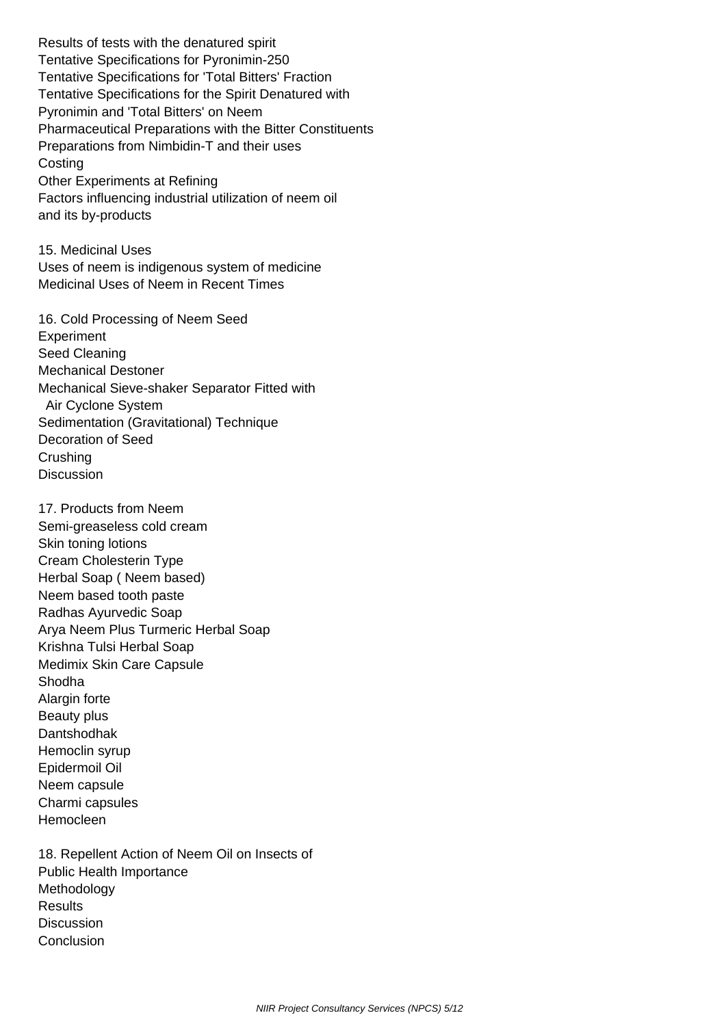Results of tests with the denatured spirit Tentative Specifications for Pyronimin-250 Tentative Specifications for 'Total Bitters' Fraction Tentative Specifications for the Spirit Denatured with Pyronimin and 'Total Bitters' on Neem Pharmaceutical Preparations with the Bitter Constituents Preparations from Nimbidin-T and their uses **Costing**  Other Experiments at Refining Factors influencing industrial utilization of neem oil and its by-products

 15. Medicinal Uses Uses of neem is indigenous system of medicine Medicinal Uses of Neem in Recent Times

 16. Cold Processing of Neem Seed **Experiment**  Seed Cleaning Mechanical Destoner Mechanical Sieve-shaker Separator Fitted with Air Cyclone System Sedimentation (Gravitational) Technique Decoration of Seed Crushing **Discussion** 

 17. Products from Neem Semi-greaseless cold cream Skin toning lotions Cream Cholesterin Type Herbal Soap ( Neem based) Neem based tooth paste Radhas Ayurvedic Soap Arya Neem Plus Turmeric Herbal Soap Krishna Tulsi Herbal Soap Medimix Skin Care Capsule Shodha Alargin forte Beauty plus Dantshodhak Hemoclin syrup Epidermoil Oil Neem capsule Charmi capsules Hemocleen

 18. Repellent Action of Neem Oil on Insects of Public Health Importance **Methodology Results Discussion Conclusion**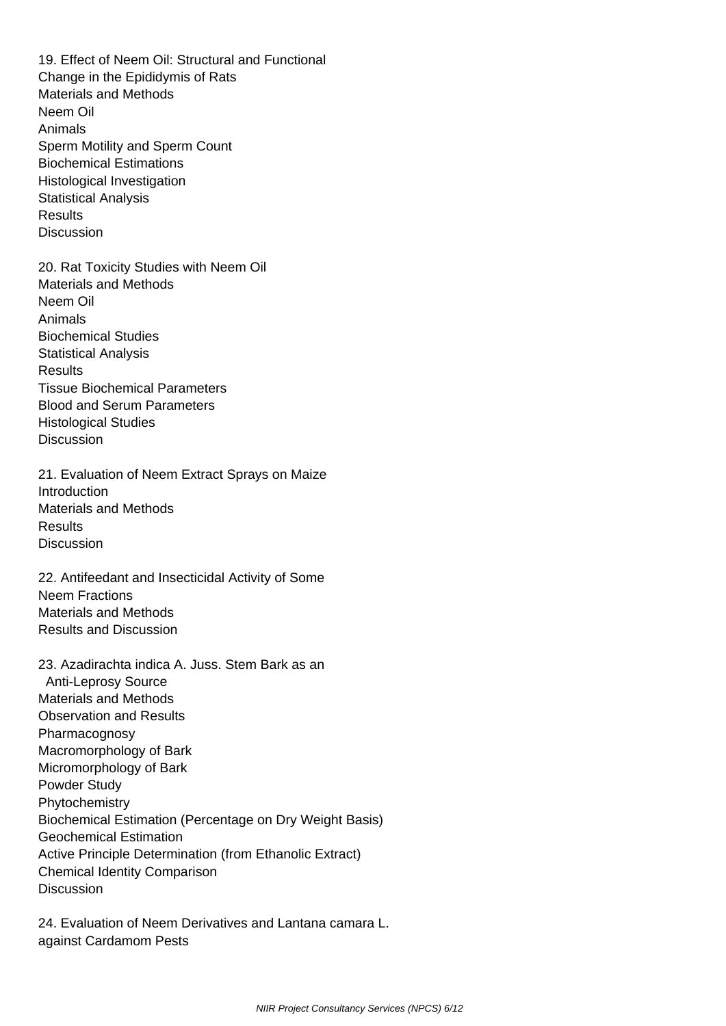19. Effect of Neem Oil: Structural and Functional Change in the Epididymis of Rats Materials and Methods Neem Oil Animals Sperm Motility and Sperm Count Biochemical Estimations Histological Investigation Statistical Analysis **Results Discussion**  20. Rat Toxicity Studies with Neem Oil Materials and Methods Neem Oil Animals Biochemical Studies Statistical Analysis **Results**  Tissue Biochemical Parameters Blood and Serum Parameters Histological Studies **Discussion**  21. Evaluation of Neem Extract Sprays on Maize **Introduction**  Materials and Methods **Results Discussion**  22. Antifeedant and Insecticidal Activity of Some Neem Fractions Materials and Methods Results and Discussion 23. Azadirachta indica A. Juss. Stem Bark as an Anti-Leprosy Source Materials and Methods Observation and Results Pharmacognosy Macromorphology of Bark Micromorphology of Bark Powder Study **Phytochemistry**  Biochemical Estimation (Percentage on Dry Weight Basis) Geochemical Estimation

Active Principle Determination (from Ethanolic Extract)

Chemical Identity Comparison

**Discussion** 

 24. Evaluation of Neem Derivatives and Lantana camara L. against Cardamom Pests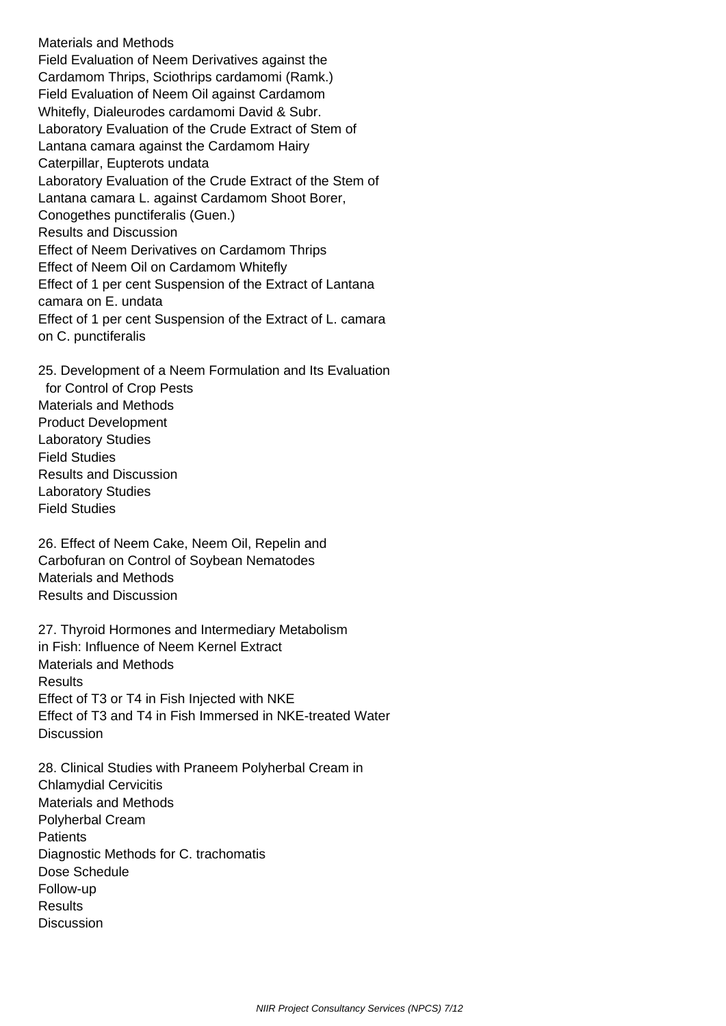Materials and Methods Field Evaluation of Neem Derivatives against the Cardamom Thrips, Sciothrips cardamomi (Ramk.) Field Evaluation of Neem Oil against Cardamom Whitefly, Dialeurodes cardamomi David & Subr. Laboratory Evaluation of the Crude Extract of Stem of Lantana camara against the Cardamom Hairy Caterpillar, Eupterots undata Laboratory Evaluation of the Crude Extract of the Stem of Lantana camara L. against Cardamom Shoot Borer, Conogethes punctiferalis (Guen.) Results and Discussion Effect of Neem Derivatives on Cardamom Thrips Effect of Neem Oil on Cardamom Whitefly Effect of 1 per cent Suspension of the Extract of Lantana camara on E. undata Effect of 1 per cent Suspension of the Extract of L. camara on C. punctiferalis

 25. Development of a Neem Formulation and Its Evaluation for Control of Crop Pests Materials and Methods Product Development Laboratory Studies Field Studies Results and Discussion Laboratory Studies Field Studies

 26. Effect of Neem Cake, Neem Oil, Repelin and Carbofuran on Control of Soybean Nematodes Materials and Methods Results and Discussion

 27. Thyroid Hormones and Intermediary Metabolism in Fish: Influence of Neem Kernel Extract Materials and Methods **Results**  Effect of T3 or T4 in Fish Injected with NKE Effect of T3 and T4 in Fish Immersed in NKE-treated Water **Discussion** 

 28. Clinical Studies with Praneem Polyherbal Cream in Chlamydial Cervicitis Materials and Methods Polyherbal Cream **Patients**  Diagnostic Methods for C. trachomatis Dose Schedule Follow-up **Results Discussion**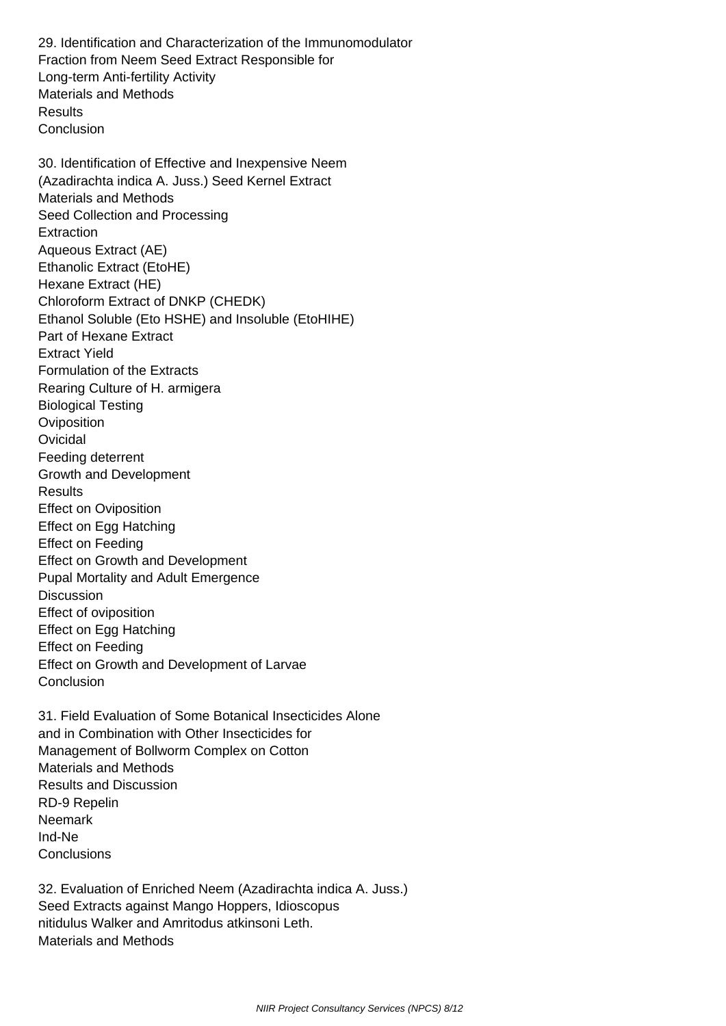29. Identification and Characterization of the Immunomodulator Fraction from Neem Seed Extract Responsible for Long-term Anti-fertility Activity Materials and Methods **Results Conclusion** 

 30. Identification of Effective and Inexpensive Neem (Azadirachta indica A. Juss.) Seed Kernel Extract Materials and Methods Seed Collection and Processing **Extraction**  Aqueous Extract (AE) Ethanolic Extract (EtoHE) Hexane Extract (HE) Chloroform Extract of DNKP (CHEDK) Ethanol Soluble (Eto HSHE) and Insoluble (EtoHIHE) Part of Hexane Extract Extract Yield Formulation of the Extracts Rearing Culture of H. armigera Biological Testing **Oviposition Ovicidal**  Feeding deterrent Growth and Development **Results**  Effect on Oviposition Effect on Egg Hatching Effect on Feeding Effect on Growth and Development Pupal Mortality and Adult Emergence **Discussion**  Effect of oviposition Effect on Egg Hatching Effect on Feeding Effect on Growth and Development of Larvae Conclusion

 31. Field Evaluation of Some Botanical Insecticides Alone and in Combination with Other Insecticides for Management of Bollworm Complex on Cotton Materials and Methods Results and Discussion RD-9 Repelin Neemark Ind-Ne **Conclusions** 

 32. Evaluation of Enriched Neem (Azadirachta indica A. Juss.) Seed Extracts against Mango Hoppers, Idioscopus nitidulus Walker and Amritodus atkinsoni Leth. Materials and Methods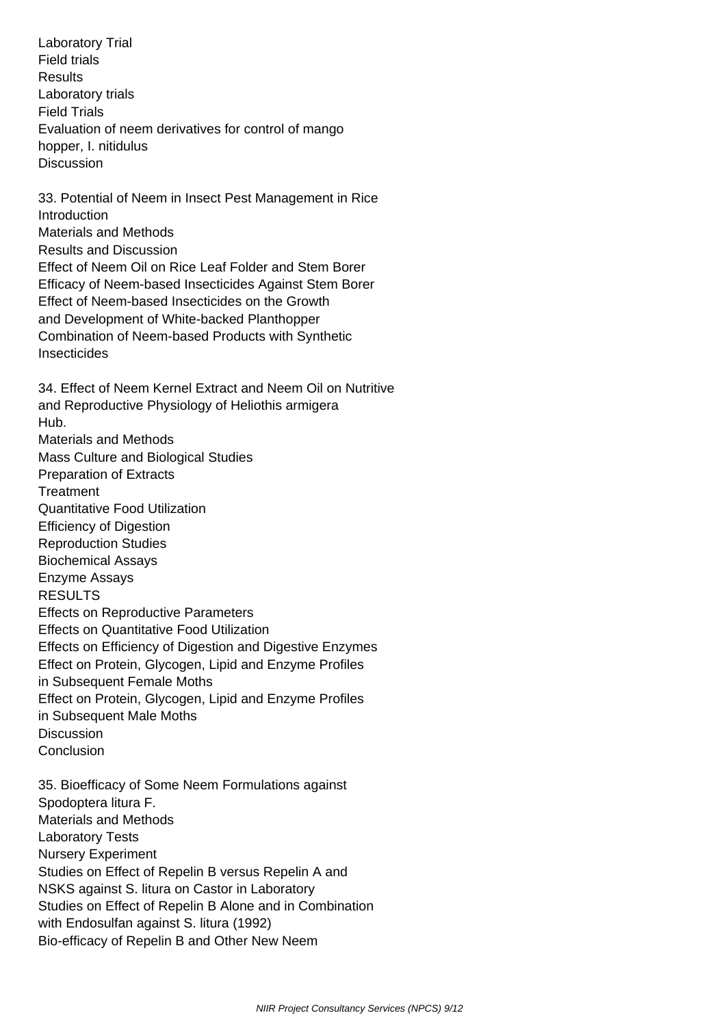Laboratory Trial Field trials Results Laboratory trials Field Trials Evaluation of neem derivatives for control of mango hopper, I. nitidulus **Discussion** 

 33. Potential of Neem in Insect Pest Management in Rice **Introduction**  Materials and Methods Results and Discussion Effect of Neem Oil on Rice Leaf Folder and Stem Borer Efficacy of Neem-based Insecticides Against Stem Borer Effect of Neem-based Insecticides on the Growth and Development of White-backed Planthopper Combination of Neem-based Products with Synthetic Insecticides

 34. Effect of Neem Kernel Extract and Neem Oil on Nutritive and Reproductive Physiology of Heliothis armigera Hub. Materials and Methods Mass Culture and Biological Studies Preparation of Extracts **Treatment**  Quantitative Food Utilization Efficiency of Digestion Reproduction Studies Biochemical Assays Enzyme Assays RESULTS Effects on Reproductive Parameters Effects on Quantitative Food Utilization Effects on Efficiency of Digestion and Digestive Enzymes Effect on Protein, Glycogen, Lipid and Enzyme Profiles in Subsequent Female Moths Effect on Protein, Glycogen, Lipid and Enzyme Profiles in Subsequent Male Moths **Discussion Conclusion** 

 35. Bioefficacy of Some Neem Formulations against Spodoptera litura F. Materials and Methods Laboratory Tests Nursery Experiment Studies on Effect of Repelin B versus Repelin A and NSKS against S. litura on Castor in Laboratory Studies on Effect of Repelin B Alone and in Combination with Endosulfan against S. litura (1992) Bio-efficacy of Repelin B and Other New Neem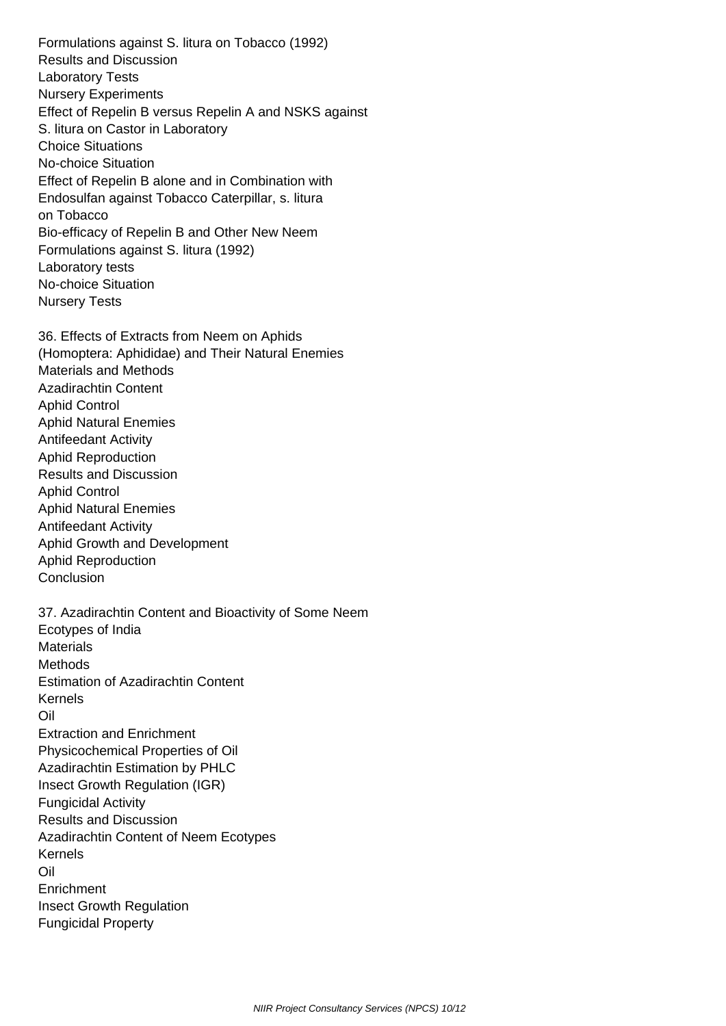Formulations against S. litura on Tobacco (1992) Results and Discussion Laboratory Tests Nursery Experiments Effect of Repelin B versus Repelin A and NSKS against S. litura on Castor in Laboratory Choice Situations No-choice Situation Effect of Repelin B alone and in Combination with Endosulfan against Tobacco Caterpillar, s. litura on Tobacco Bio-efficacy of Repelin B and Other New Neem Formulations against S. litura (1992) Laboratory tests No-choice Situation Nursery Tests

 36. Effects of Extracts from Neem on Aphids (Homoptera: Aphididae) and Their Natural Enemies Materials and Methods Azadirachtin Content Aphid Control Aphid Natural Enemies Antifeedant Activity Aphid Reproduction Results and Discussion Aphid Control Aphid Natural Enemies Antifeedant Activity Aphid Growth and Development Aphid Reproduction **Conclusion** 

 37. Azadirachtin Content and Bioactivity of Some Neem Ecotypes of India **Materials Methods**  Estimation of Azadirachtin Content Kernels Oil Extraction and Enrichment Physicochemical Properties of Oil Azadirachtin Estimation by PHLC Insect Growth Regulation (IGR) Fungicidal Activity Results and Discussion Azadirachtin Content of Neem Ecotypes Kernels Oil **Enrichment**  Insect Growth Regulation Fungicidal Property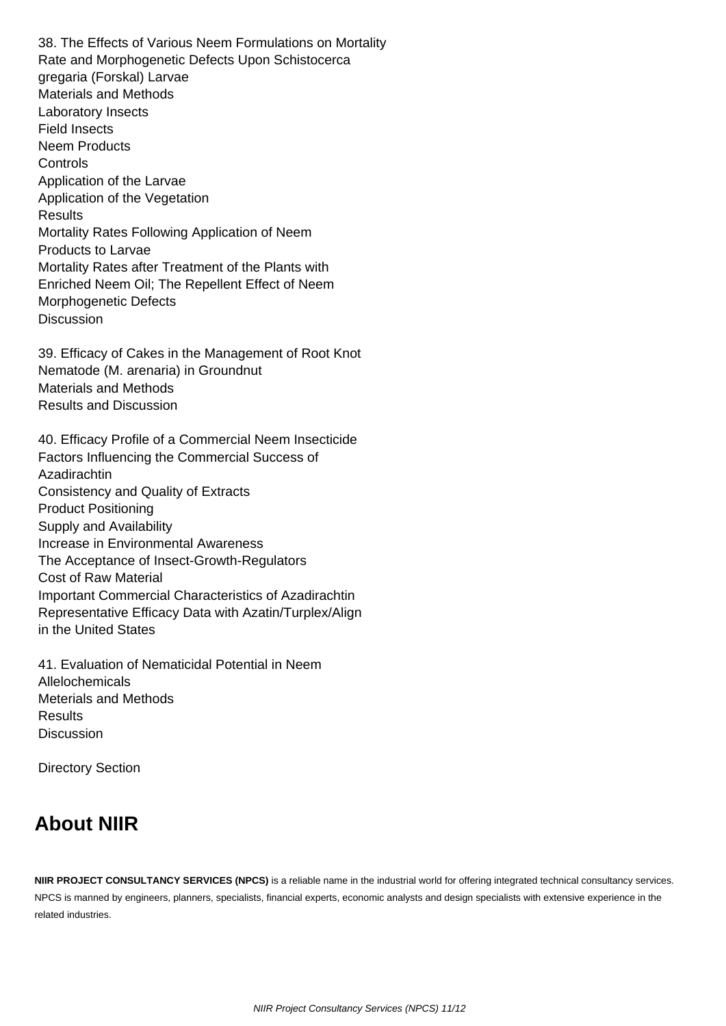38. The Effects of Various Neem Formulations on Mortality Rate and Morphogenetic Defects Upon Schistocerca gregaria (Forskal) Larvae Materials and Methods Laboratory Insects Field Insects Neem Products **Controls**  Application of the Larvae Application of the Vegetation **Results**  Mortality Rates Following Application of Neem Products to Larvae Mortality Rates after Treatment of the Plants with Enriched Neem Oil; The Repellent Effect of Neem Morphogenetic Defects **Discussion** 

 39. Efficacy of Cakes in the Management of Root Knot Nematode (M. arenaria) in Groundnut Materials and Methods Results and Discussion

 40. Efficacy Profile of a Commercial Neem Insecticide Factors Influencing the Commercial Success of **Azadirachtin**  Consistency and Quality of Extracts Product Positioning Supply and Availability Increase in Environmental Awareness The Acceptance of Insect-Growth-Regulators Cost of Raw Material Important Commercial Characteristics of Azadirachtin Representative Efficacy Data with Azatin/Turplex/Align in the United States

 41. Evaluation of Nematicidal Potential in Neem Allelochemicals Meterials and Methods Results **Discussion** 

Directory Section

## **About NIIR**

**NIIR PROJECT CONSULTANCY SERVICES (NPCS)** is a reliable name in the industrial world for offering integrated technical consultancy services. NPCS is manned by engineers, planners, specialists, financial experts, economic analysts and design specialists with extensive experience in the related industries.